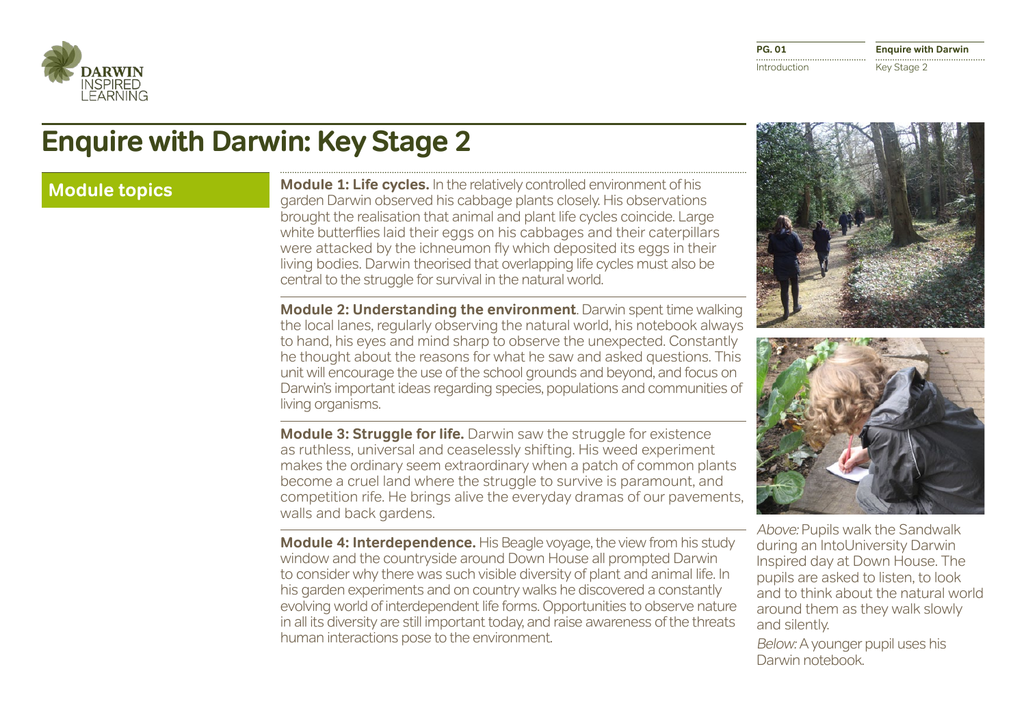

# **Enquire with Darwin: Key Stage 2**

**Module topics Module 1: Life cycles.** In the relatively controlled environment of his garden Darwin observed his cabbage plants closely. His observations brought the realisation that animal and plant life cycles coincide. Large white butterflies laid their eggs on his cabbages and their caterpillars were attacked by the ichneumon fly which deposited its eggs in their living bodies. Darwin theorised that overlapping life cycles must also be central to the struggle for survival in the natural world.

> **Module 2: Understanding the environment**. Darwin spent time walking the local lanes, regularly observing the natural world, his notebook always to hand, his eyes and mind sharp to observe the unexpected. Constantly he thought about the reasons for what he saw and asked questions. This unit will encourage the use of the school grounds and beyond, and focus on Darwin's important ideas regarding species, populations and communities of living organisms.

> **Module 3: Struggle for life.** Darwin saw the struggle for existence as ruthless, universal and ceaselessly shifting. His weed experiment makes the ordinary seem extraordinary when a patch of common plants become a cruel land where the struggle to survive is paramount, and competition rife. He brings alive the everyday dramas of our pavements, walls and back gardens.

**Module 4: Interdependence.** His Beagle voyage, the view from his study window and the countryside around Down House all prompted Darwin to consider why there was such visible diversity of plant and animal life. In his garden experiments and on country walks he discovered a constantly evolving world of interdependent life forms. Opportunities to observe nature in all its diversity are still important today, and raise awareness of the threats human interactions pose to the environment.





Above: Pupils walk the Sandwalk during an IntoUniversity Darwin Inspired day at Down House. The pupils are asked to listen, to look and to think about the natural world around them as they walk slowly and silently.

Below: A younger pupil uses his Darwin notebook.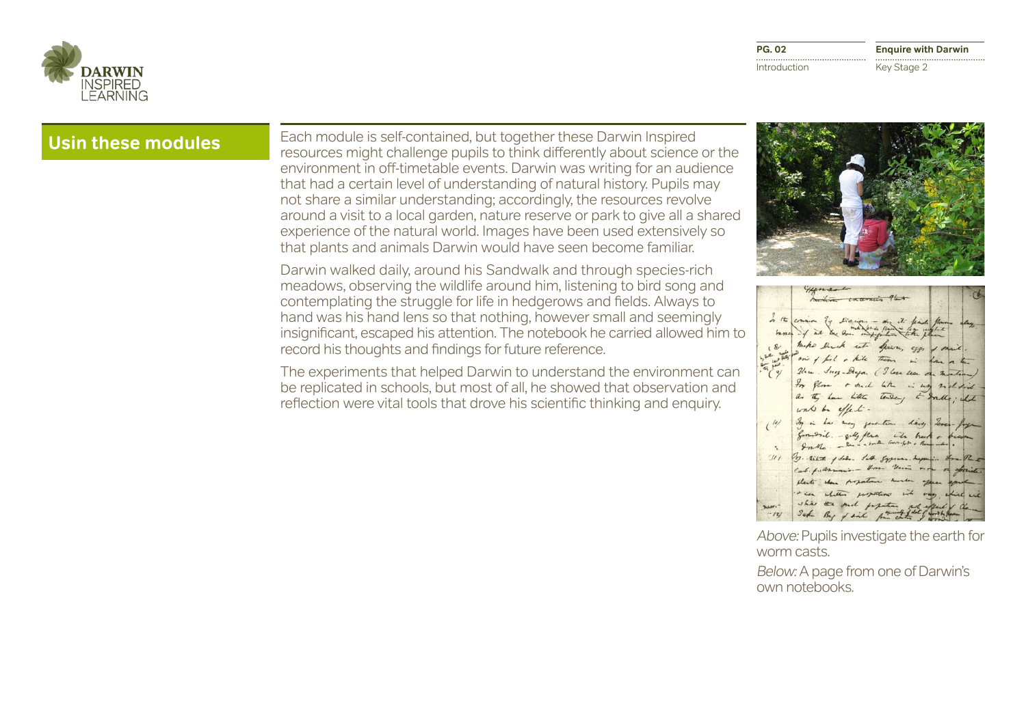

**Enquire with Darwin** Key Stage 2

**Usin these modules** Each module is self-contained, but together these Darwin Inspired resources might challenge pupils to think differently about science or the environment in off-timetable events. Darwin was writing for an audience that had a certain level of understanding of natural history. Pupils may not share a similar understanding; accordingly, the resources revolve around a visit to a local garden, nature reserve or park to give all a shared experience of the natural world. Images have been used extensively so that plants and animals Darwin would have seen become familiar.

> Darwin walked daily, around his Sandwalk and through species-rich meadows, observing the wildlife around him, listening to bird song and contemplating the struggle for life in hedgerows and fields. Always to hand was his hand lens so that nothing, however small and seemingly insignificant, escaped his attention. The notebook he carried allowed him to record his thoughts and findings for future reference.

> The experiments that helped Darwin to understand the environment can be replicated in schools, but most of all, he showed that observation and reflection were vital tools that drove his scientific thinking and enquiry.



mitin concernis Plat  $\frac{1}{2}$  /t take it  $8$ make buck est spain, eggs 青海 and I find a kill Them in Then Ing-Dayon (I have seen on In flow + such like in us with sind as they have little tendent to South . Ind would be effect . By in her many generation daily Seven  $\frac{1}{2}$ formeril - gelly the with heat - $III$ Voy. White of Solan Satt. Sypram. Ineposed Cab. f. anni- Home Uni an on of abounced that's them posture husban affere it in white properties into vary while the said properties Jek By of sink for cater of

Above: Pupils investigate the earth for worm casts.

Below: A page from one of Darwin's own notebooks.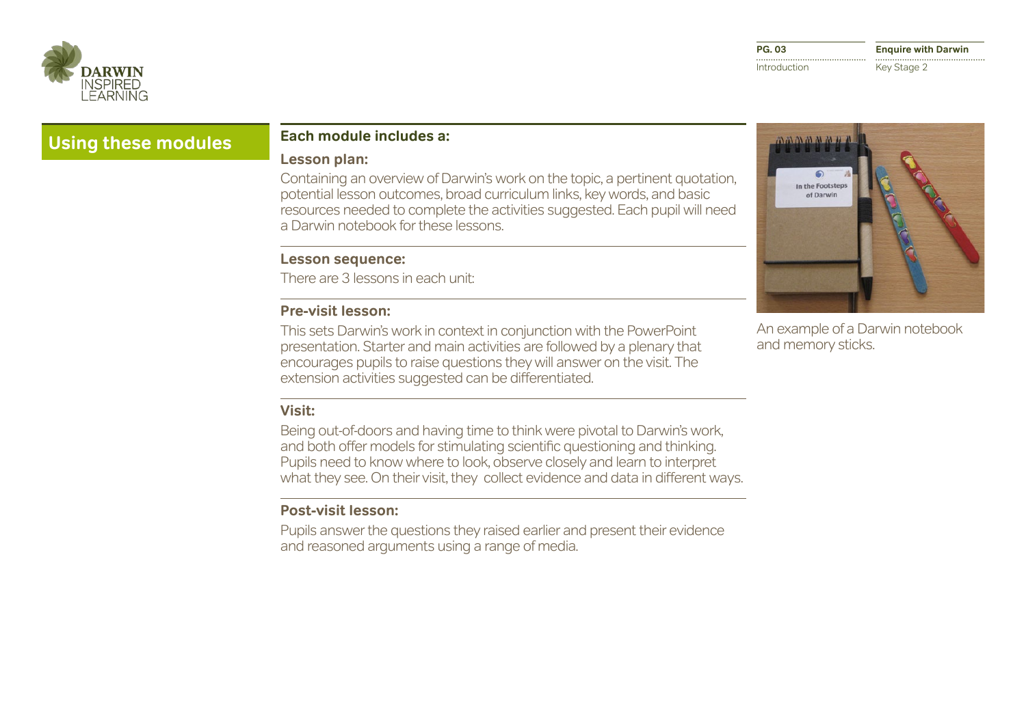

**Using these modules Each module includes a:**

### **Lesson plan:**

Containing an overview of Darwin's work on the topic, a pertinent quotation, potential lesson outcomes, broad curriculum links, key words, and basic resources needed to complete the activities suggested. Each pupil will need a Darwin notebook for these lessons.

### **Lesson sequence:**

There are 3 lessons in each unit:

### **Pre-visit lesson:**

This sets Darwin's work in context in conjunction with the PowerPoint presentation. Starter and main activities are followed by a plenary that encourages pupils to raise questions they will answer on the visit. The extension activities suggested can be differentiated.

 $M M M M$ In the Footster of Darwin

An example of a Darwin notebook and memory sticks.

### **Visit:**

Being out-of-doors and having time to think were pivotal to Darwin's work, and both offer models for stimulating scientific questioning and thinking. Pupils need to know where to look, observe closely and learn to interpret what they see. On their visit, they collect evidence and data in different ways.

### **Post-visit lesson:**

Pupils answer the questions they raised earlier and present their evidence and reasoned arguments using a range of media.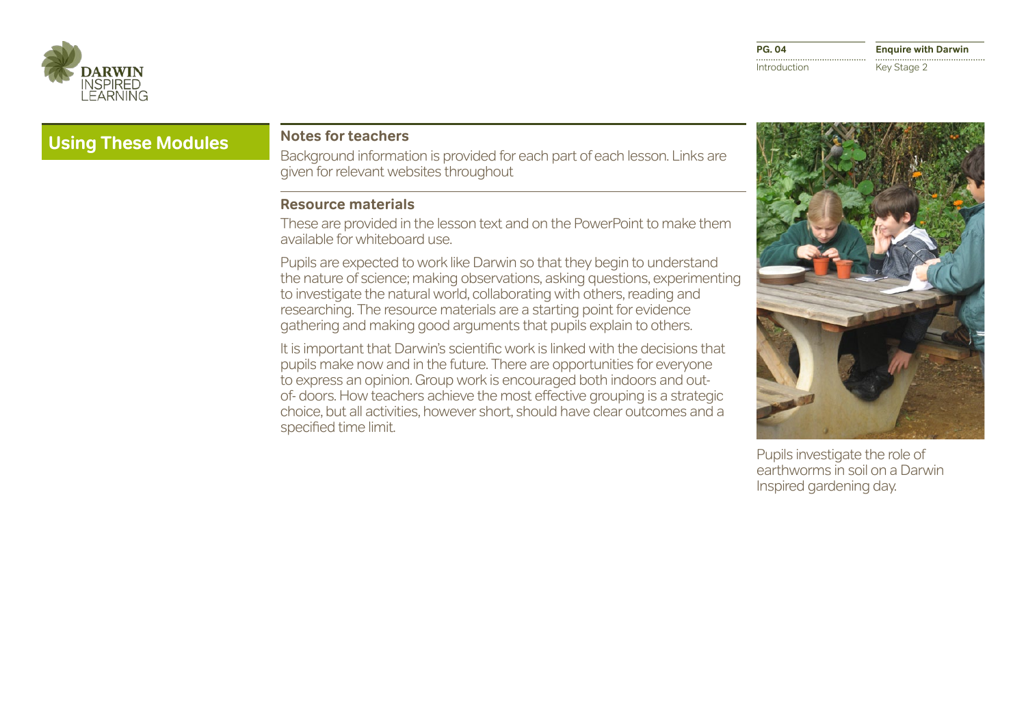

**Enquire with Darwin** Key Stage 2

## **Using These Modules** Notes for teachers

Background information is provided for each part of each lesson. Links are given for relevant websites throughout

### **Resource materials**

These are provided in the lesson text and on the PowerPoint to make them available for whiteboard use.

Pupils are expected to work like Darwin so that they begin to understand the nature of science; making observations, asking questions, experimenting to investigate the natural world, collaborating with others, reading and researching. The resource materials are a starting point for evidence gathering and making good arguments that pupils explain to others.

It is important that Darwin's scientific work is linked with the decisions that pupils make now and in the future. There are opportunities for everyone to express an opinion. Group work is encouraged both indoors and outof- doors. How teachers achieve the most effective grouping is a strategic choice, but all activities, however short, should have clear outcomes and a specified time limit.



Pupils investigate the role of earthworms in soil on a Darwin Inspired gardening day.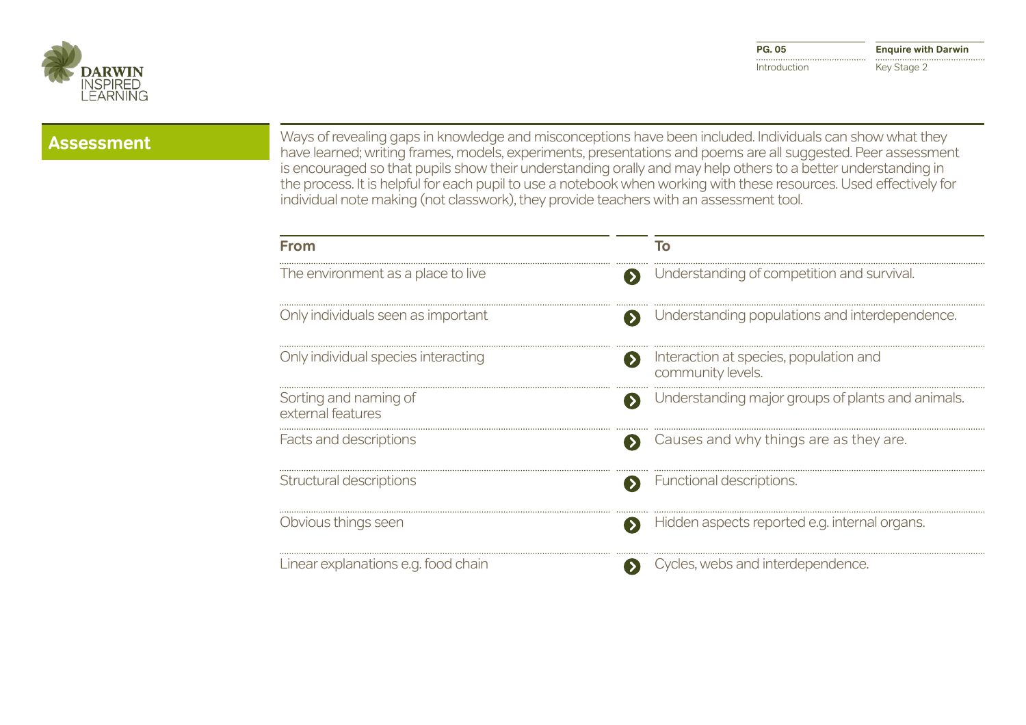

**Assessment** Ways of revealing gaps in knowledge and misconceptions have been included. Individuals can show what they have learned; writing frames, models, experiments, presentations and poems are all suggested. Peer assessment is encouraged so that pupils show their understanding orally and may help others to a better understanding in the process. It is helpful for each pupil to use a notebook when working with these resources. Used effectively for individual note making (not classwork), they provide teachers with an assessment tool.

| <b>From</b>                                                 | Тο                                                          |  |
|-------------------------------------------------------------|-------------------------------------------------------------|--|
| The environment as a place to live<br>S                     | Understanding of competition and survival.                  |  |
| Only individuals seen as important                          | Understanding populations and interdependence.              |  |
| Only individual species interacting                         | Interaction at species, population and<br>community levels. |  |
| Sorting and naming of<br>$\rightarrow$<br>external features | Understanding major groups of plants and animals.           |  |
| Facts and descriptions                                      | Causes and why things are as they are.                      |  |
| Structural descriptions                                     | S Functional descriptions.                                  |  |
| Obvious things seen                                         | Hidden aspects reported e.g. internal organs.               |  |
| Linear explanations e.g. food chain                         | Cycles, webs and interdependence.                           |  |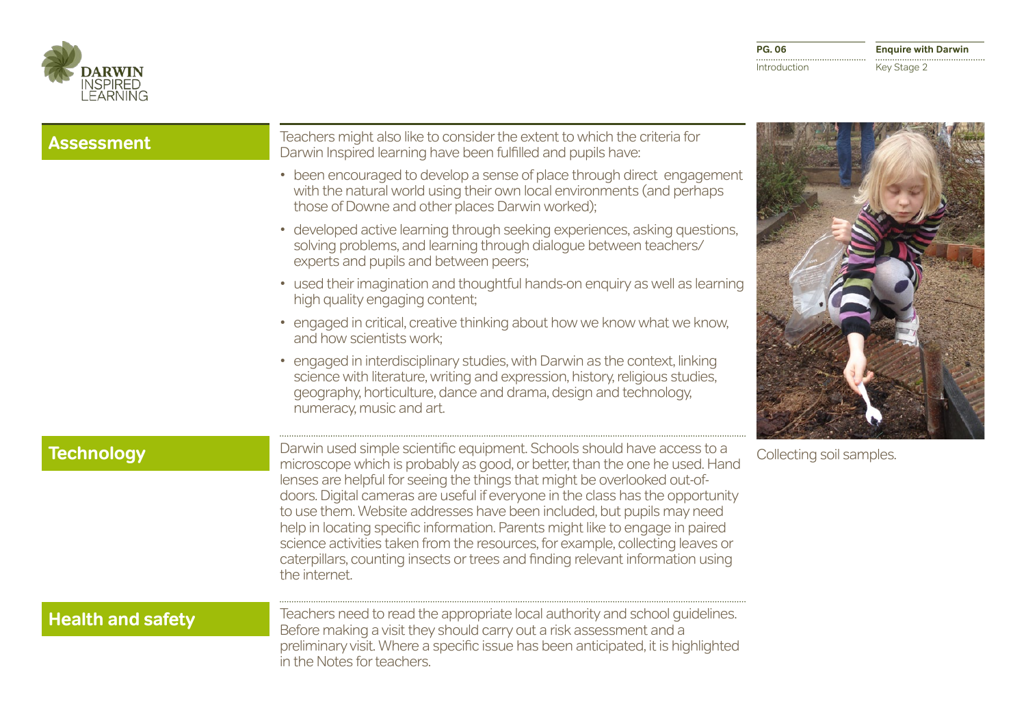

**Enquire with Darwin Key Stage 2** 

| <b>Assessment</b>        | Teachers might also like to consider the extent to which the criteria for<br>Darwin Inspired learning have been fulfilled and pupils have:                                                                                                                                                                                                                                                                                                                                                                                                                                                                                                                             |                          |
|--------------------------|------------------------------------------------------------------------------------------------------------------------------------------------------------------------------------------------------------------------------------------------------------------------------------------------------------------------------------------------------------------------------------------------------------------------------------------------------------------------------------------------------------------------------------------------------------------------------------------------------------------------------------------------------------------------|--------------------------|
|                          | • been encouraged to develop a sense of place through direct engagement<br>with the natural world using their own local environments (and perhaps<br>those of Downe and other places Darwin worked);                                                                                                                                                                                                                                                                                                                                                                                                                                                                   |                          |
|                          | • developed active learning through seeking experiences, asking questions,<br>solving problems, and learning through dialogue between teachers/<br>experts and pupils and between peers;                                                                                                                                                                                                                                                                                                                                                                                                                                                                               |                          |
|                          | • used their imagination and thoughtful hands-on enquiry as well as learning<br>high quality engaging content;                                                                                                                                                                                                                                                                                                                                                                                                                                                                                                                                                         |                          |
|                          | • engaged in critical, creative thinking about how we know what we know,<br>and how scientists work;                                                                                                                                                                                                                                                                                                                                                                                                                                                                                                                                                                   |                          |
|                          | • engaged in interdisciplinary studies, with Darwin as the context, linking<br>science with literature, writing and expression, history, religious studies,<br>geography, horticulture, dance and drama, design and technology,<br>numeracy, music and art.                                                                                                                                                                                                                                                                                                                                                                                                            |                          |
| <b>Technology</b>        | Darwin used simple scientific equipment. Schools should have access to a<br>microscope which is probably as good, or better, than the one he used. Hand<br>lenses are helpful for seeing the things that might be overlooked out-of-<br>doors. Digital cameras are useful if everyone in the class has the opportunity<br>to use them. Website addresses have been included, but pupils may need<br>help in locating specific information. Parents might like to engage in paired<br>science activities taken from the resources, for example, collecting leaves or<br>caterpillars, counting insects or trees and finding relevant information using<br>the internet. | Collecting soil samples. |
| <b>Health and safety</b> | Teachers need to read the appropriate local authority and school guidelines.<br>Before making a visit they should carry out a risk assessment and a<br>preliminary visit. Where a specific issue has been anticipated, it is highlighted<br>in the Notes for teachers.                                                                                                                                                                                                                                                                                                                                                                                                 |                          |